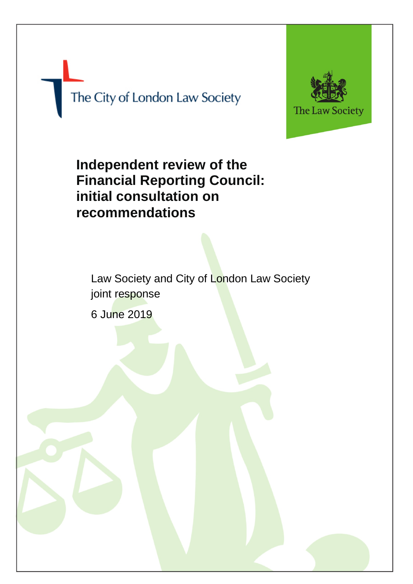The City of London Law Society



**Independent review of the Financial Reporting Council: initial consultation on recommendations**

Law Society and City of London Law Society joint response 6 June 2019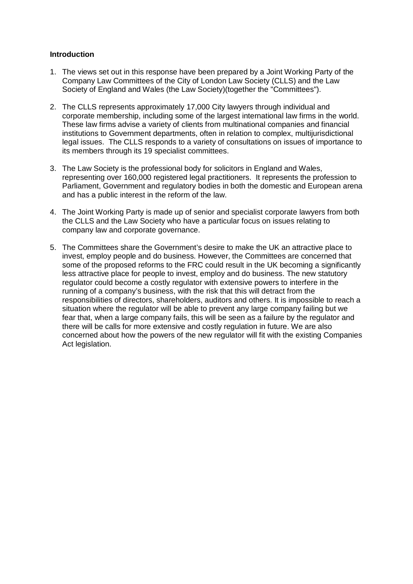# **Introduction**

- 1. The views set out in this response have been prepared by a Joint Working Party of the Company Law Committees of the City of London Law Society (CLLS) and the Law Society of England and Wales (the Law Society)(together the "Committees").
- 2. The CLLS represents approximately 17,000 City lawyers through individual and corporate membership, including some of the largest international law firms in the world. These law firms advise a variety of clients from multinational companies and financial institutions to Government departments, often in relation to complex, multijurisdictional legal issues. The CLLS responds to a variety of consultations on issues of importance to its members through its 19 specialist committees.
- 3. The Law Society is the professional body for solicitors in England and Wales, representing over 160,000 registered legal practitioners. It represents the profession to Parliament, Government and regulatory bodies in both the domestic and European arena and has a public interest in the reform of the law.
- 4. The Joint Working Party is made up of senior and specialist corporate lawyers from both the CLLS and the Law Society who have a particular focus on issues relating to company law and corporate governance.
- 5. The Committees share the Government's desire to make the UK an attractive place to invest, employ people and do business. However, the Committees are concerned that some of the proposed reforms to the FRC could result in the UK becoming a significantly less attractive place for people to invest, employ and do business. The new statutory regulator could become a costly regulator with extensive powers to interfere in the running of a company's business, with the risk that this will detract from the responsibilities of directors, shareholders, auditors and others. It is impossible to reach a situation where the regulator will be able to prevent any large company failing but we fear that, when a large company fails, this will be seen as a failure by the regulator and there will be calls for more extensive and costly regulation in future. We are also concerned about how the powers of the new regulator will fit with the existing Companies Act legislation.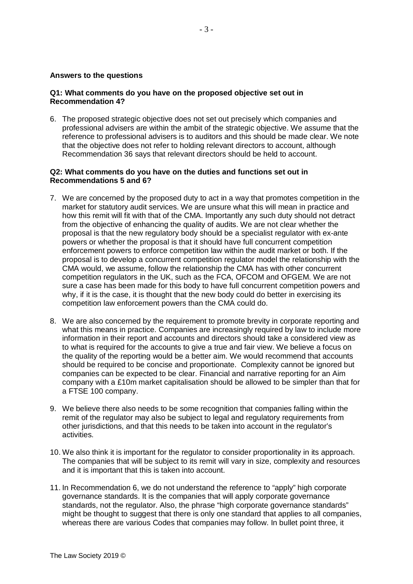# **Answers to the questions**

# **Q1: What comments do you have on the proposed objective set out in Recommendation 4?**

6. The proposed strategic objective does not set out precisely which companies and professional advisers are within the ambit of the strategic objective. We assume that the reference to professional advisers is to auditors and this should be made clear. We note that the objective does not refer to holding relevant directors to account, although Recommendation 36 says that relevant directors should be held to account.

#### **Q2: What comments do you have on the duties and functions set out in Recommendations 5 and 6?**

- 7. We are concerned by the proposed duty to act in a way that promotes competition in the market for statutory audit services. We are unsure what this will mean in practice and how this remit will fit with that of the CMA. Importantly any such duty should not detract from the objective of enhancing the quality of audits. We are not clear whether the proposal is that the new regulatory body should be a specialist regulator with ex-ante powers or whether the proposal is that it should have full concurrent competition enforcement powers to enforce competition law within the audit market or both. If the proposal is to develop a concurrent competition regulator model the relationship with the CMA would, we assume, follow the relationship the CMA has with other concurrent competition regulators in the UK, such as the FCA, OFCOM and OFGEM. We are not sure a case has been made for this body to have full concurrent competition powers and why, if it is the case, it is thought that the new body could do better in exercising its competition law enforcement powers than the CMA could do.
- 8. We are also concerned by the requirement to promote brevity in corporate reporting and what this means in practice. Companies are increasingly required by law to include more information in their report and accounts and directors should take a considered view as to what is required for the accounts to give a true and fair view. We believe a focus on the quality of the reporting would be a better aim. We would recommend that accounts should be required to be concise and proportionate. Complexity cannot be ignored but companies can be expected to be clear. Financial and narrative reporting for an Aim company with a £10m market capitalisation should be allowed to be simpler than that for a FTSE 100 company.
- 9. We believe there also needs to be some recognition that companies falling within the remit of the regulator may also be subject to legal and regulatory requirements from other jurisdictions, and that this needs to be taken into account in the regulator's activities.
- 10. We also think it is important for the regulator to consider proportionality in its approach. The companies that will be subject to its remit will vary in size, complexity and resources and it is important that this is taken into account.
- 11. In Recommendation 6, we do not understand the reference to "apply" high corporate governance standards. It is the companies that will apply corporate governance standards, not the regulator. Also, the phrase "high corporate governance standards" might be thought to suggest that there is only one standard that applies to all companies, whereas there are various Codes that companies may follow. In bullet point three, it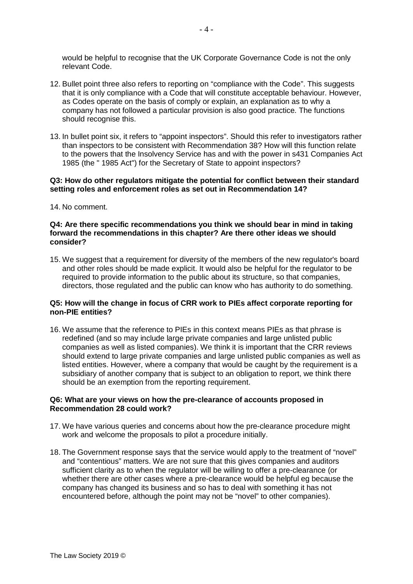would be helpful to recognise that the UK Corporate Governance Code is not the only relevant Code.

- 12. Bullet point three also refers to reporting on "compliance with the Code". This suggests that it is only compliance with a Code that will constitute acceptable behaviour. However, as Codes operate on the basis of comply or explain, an explanation as to why a company has not followed a particular provision is also good practice. The functions should recognise this.
- 13. In bullet point six, it refers to "appoint inspectors". Should this refer to investigators rather than inspectors to be consistent with Recommendation 38? How will this function relate to the powers that the Insolvency Service has and with the power in s431 Companies Act 1985 (the " 1985 Act") for the Secretary of State to appoint inspectors?

# **Q3: How do other regulators mitigate the potential for conflict between their standard setting roles and enforcement roles as set out in Recommendation 14?**

14. No comment.

# **Q4: Are there specific recommendations you think we should bear in mind in taking forward the recommendations in this chapter? Are there other ideas we should consider?**

15. We suggest that a requirement for diversity of the members of the new regulator's board and other roles should be made explicit. It would also be helpful for the regulator to be required to provide information to the public about its structure, so that companies, directors, those regulated and the public can know who has authority to do something.

# **Q5: How will the change in focus of CRR work to PIEs affect corporate reporting for non-PIE entities?**

16. We assume that the reference to PIEs in this context means PIEs as that phrase is redefined (and so may include large private companies and large unlisted public companies as well as listed companies). We think it is important that the CRR reviews should extend to large private companies and large unlisted public companies as well as listed entities. However, where a company that would be caught by the requirement is a subsidiary of another company that is subject to an obligation to report, we think there should be an exemption from the reporting requirement.

# **Q6: What are your views on how the pre-clearance of accounts proposed in Recommendation 28 could work?**

- 17. We have various queries and concerns about how the pre-clearance procedure might work and welcome the proposals to pilot a procedure initially.
- 18. The Government response says that the service would apply to the treatment of "novel" and "contentious" matters. We are not sure that this gives companies and auditors sufficient clarity as to when the regulator will be willing to offer a pre-clearance (or whether there are other cases where a pre-clearance would be helpful eg because the company has changed its business and so has to deal with something it has not encountered before, although the point may not be "novel" to other companies).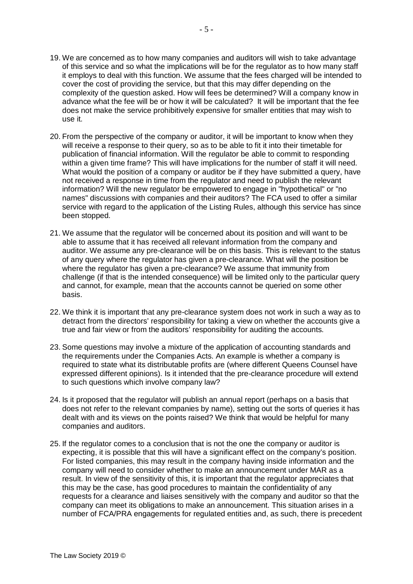- 19. We are concerned as to how many companies and auditors will wish to take advantage of this service and so what the implications will be for the regulator as to how many staff it employs to deal with this function. We assume that the fees charged will be intended to cover the cost of providing the service, but that this may differ depending on the complexity of the question asked. How will fees be determined? Will a company know in advance what the fee will be or how it will be calculated? It will be important that the fee does not make the service prohibitively expensive for smaller entities that may wish to use it.
- 20. From the perspective of the company or auditor, it will be important to know when they will receive a response to their query, so as to be able to fit it into their timetable for publication of financial information. Will the regulator be able to commit to responding within a given time frame? This will have implications for the number of staff it will need. What would the position of a company or auditor be if they have submitted a query, have not received a response in time from the regulator and need to publish the relevant information? Will the new regulator be empowered to engage in "hypothetical" or "no names" discussions with companies and their auditors? The FCA used to offer a similar service with regard to the application of the Listing Rules, although this service has since been stopped.
- 21. We assume that the regulator will be concerned about its position and will want to be able to assume that it has received all relevant information from the company and auditor. We assume any pre-clearance will be on this basis. This is relevant to the status of any query where the regulator has given a pre-clearance. What will the position be where the regulator has given a pre-clearance? We assume that immunity from challenge (if that is the intended consequence) will be limited only to the particular query and cannot, for example, mean that the accounts cannot be queried on some other basis.
- 22. We think it is important that any pre-clearance system does not work in such a way as to detract from the directors' responsibility for taking a view on whether the accounts give a true and fair view or from the auditors' responsibility for auditing the accounts.
- 23. Some questions may involve a mixture of the application of accounting standards and the requirements under the Companies Acts. An example is whether a company is required to state what its distributable profits are (where different Queens Counsel have expressed different opinions). Is it intended that the pre-clearance procedure will extend to such questions which involve company law?
- 24. Is it proposed that the regulator will publish an annual report (perhaps on a basis that does not refer to the relevant companies by name), setting out the sorts of queries it has dealt with and its views on the points raised? We think that would be helpful for many companies and auditors.
- 25. If the regulator comes to a conclusion that is not the one the company or auditor is expecting, it is possible that this will have a significant effect on the company's position. For listed companies, this may result in the company having inside information and the company will need to consider whether to make an announcement under MAR as a result. In view of the sensitivity of this, it is important that the regulator appreciates that this may be the case, has good procedures to maintain the confidentiality of any requests for a clearance and liaises sensitively with the company and auditor so that the company can meet its obligations to make an announcement. This situation arises in a number of FCA/PRA engagements for regulated entities and, as such, there is precedent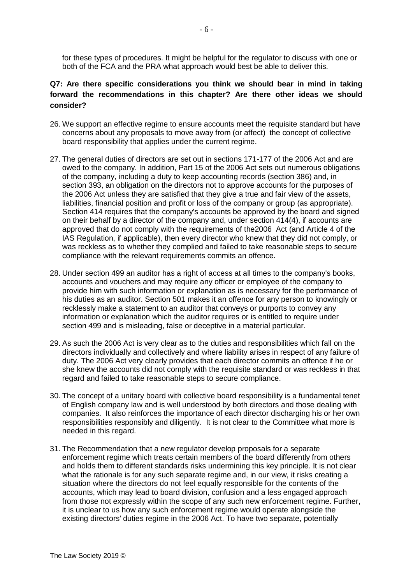for these types of procedures. It might be helpful for the regulator to discuss with one or both of the FCA and the PRA what approach would best be able to deliver this.

# **Q7: Are there specific considerations you think we should bear in mind in taking forward the recommendations in this chapter? Are there other ideas we should consider?**

- 26. We support an effective regime to ensure accounts meet the requisite standard but have concerns about any proposals to move away from (or affect) the concept of collective board responsibility that applies under the current regime.
- 27. The general duties of directors are set out in sections 171-177 of the 2006 Act and are owed to the company. In addition, Part 15 of the 2006 Act sets out numerous obligations of the company, including a duty to keep accounting records (section 386) and, in section 393, an obligation on the directors not to approve accounts for the purposes of the 2006 Act unless they are satisfied that they give a true and fair view of the assets, liabilities, financial position and profit or loss of the company or group (as appropriate). Section 414 requires that the company's accounts be approved by the board and signed on their behalf by a director of the company and, under section 414(4), if accounts are approved that do not comply with the requirements of the2006 Act (and Article 4 of the IAS Regulation, if applicable), then every director who knew that they did not comply, or was reckless as to whether they complied and failed to take reasonable steps to secure compliance with the relevant requirements commits an offence.
- 28. Under section 499 an auditor has a right of access at all times to the company's books, accounts and vouchers and may require any officer or employee of the company to provide him with such information or explanation as is necessary for the performance of his duties as an auditor. Section 501 makes it an offence for any person to knowingly or recklessly make a statement to an auditor that conveys or purports to convey any information or explanation which the auditor requires or is entitled to require under section 499 and is misleading, false or deceptive in a material particular.
- 29. As such the 2006 Act is very clear as to the duties and responsibilities which fall on the directors individually and collectively and where liability arises in respect of any failure of duty. The 2006 Act very clearly provides that each director commits an offence if he or she knew the accounts did not comply with the requisite standard or was reckless in that regard and failed to take reasonable steps to secure compliance.
- 30. The concept of a unitary board with collective board responsibility is a fundamental tenet of English company law and is well understood by both directors and those dealing with companies. It also reinforces the importance of each director discharging his or her own responsibilities responsibly and diligently. It is not clear to the Committee what more is needed in this regard.
- 31. The Recommendation that a new regulator develop proposals for a separate enforcement regime which treats certain members of the board differently from others and holds them to different standards risks undermining this key principle. It is not clear what the rationale is for any such separate regime and, in our view, it risks creating a situation where the directors do not feel equally responsible for the contents of the accounts, which may lead to board division, confusion and a less engaged approach from those not expressly within the scope of any such new enforcement regime. Further, it is unclear to us how any such enforcement regime would operate alongside the existing directors' duties regime in the 2006 Act. To have two separate, potentially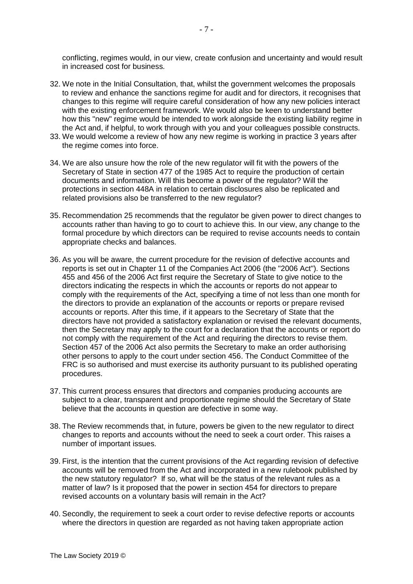conflicting, regimes would, in our view, create confusion and uncertainty and would result in increased cost for business.

- 32. We note in the Initial Consultation, that, whilst the government welcomes the proposals to review and enhance the sanctions regime for audit and for directors, it recognises that changes to this regime will require careful consideration of how any new policies interact with the existing enforcement framework. We would also be keen to understand better how this "new" regime would be intended to work alongside the existing liability regime in the Act and, if helpful, to work through with you and your colleagues possible constructs.
- 33. We would welcome a review of how any new regime is working in practice 3 years after the regime comes into force.
- 34. We are also unsure how the role of the new regulator will fit with the powers of the Secretary of State in section 477 of the 1985 Act to require the production of certain documents and information. Will this become a power of the regulator? Will the protections in section 448A in relation to certain disclosures also be replicated and related provisions also be transferred to the new regulator?
- 35. Recommendation 25 recommends that the regulator be given power to direct changes to accounts rather than having to go to court to achieve this. In our view, any change to the formal procedure by which directors can be required to revise accounts needs to contain appropriate checks and balances.
- 36. As you will be aware, the current procedure for the revision of defective accounts and reports is set out in Chapter 11 of the Companies Act 2006 (the "2006 Act"). Sections 455 and 456 of the 2006 Act first require the Secretary of State to give notice to the directors indicating the respects in which the accounts or reports do not appear to comply with the requirements of the Act, specifying a time of not less than one month for the directors to provide an explanation of the accounts or reports or prepare revised accounts or reports. After this time, if it appears to the Secretary of State that the directors have not provided a satisfactory explanation or revised the relevant documents, then the Secretary may apply to the court for a declaration that the accounts or report do not comply with the requirement of the Act and requiring the directors to revise them. Section 457 of the 2006 Act also permits the Secretary to make an order authorising other persons to apply to the court under section 456. The Conduct Committee of the FRC is so authorised and must exercise its authority pursuant to its published operating procedures.
- 37. This current process ensures that directors and companies producing accounts are subject to a clear, transparent and proportionate regime should the Secretary of State believe that the accounts in question are defective in some way.
- 38. The Review recommends that, in future, powers be given to the new regulator to direct changes to reports and accounts without the need to seek a court order. This raises a number of important issues.
- 39. First, is the intention that the current provisions of the Act regarding revision of defective accounts will be removed from the Act and incorporated in a new rulebook published by the new statutory regulator? If so, what will be the status of the relevant rules as a matter of law? Is it proposed that the power in section 454 for directors to prepare revised accounts on a voluntary basis will remain in the Act?
- 40. Secondly, the requirement to seek a court order to revise defective reports or accounts where the directors in question are regarded as not having taken appropriate action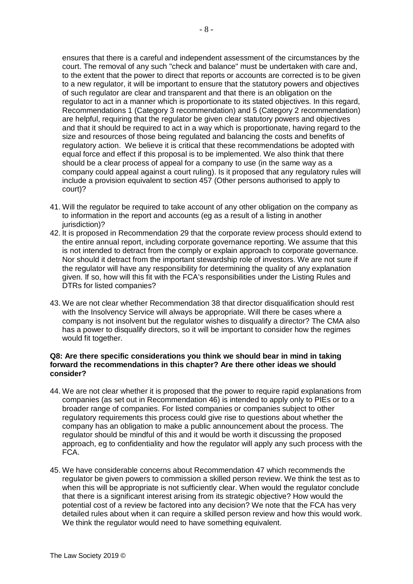ensures that there is a careful and independent assessment of the circumstances by the court. The removal of any such "check and balance" must be undertaken with care and, to the extent that the power to direct that reports or accounts are corrected is to be given to a new regulator, it will be important to ensure that the statutory powers and objectives of such regulator are clear and transparent and that there is an obligation on the regulator to act in a manner which is proportionate to its stated objectives. In this regard, Recommendations 1 (Category 3 recommendation) and 5 (Category 2 recommendation) are helpful, requiring that the regulator be given clear statutory powers and objectives and that it should be required to act in a way which is proportionate, having regard to the size and resources of those being regulated and balancing the costs and benefits of regulatory action. We believe it is critical that these recommendations be adopted with equal force and effect if this proposal is to be implemented. We also think that there should be a clear process of appeal for a company to use (in the same way as a company could appeal against a court ruling). Is it proposed that any regulatory rules will include a provision equivalent to section 457 (Other persons authorised to apply to court)?

- 41. Will the regulator be required to take account of any other obligation on the company as to information in the report and accounts (eg as a result of a listing in another iurisdiction)?
- 42. It is proposed in Recommendation 29 that the corporate review process should extend to the entire annual report, including corporate governance reporting. We assume that this is not intended to detract from the comply or explain approach to corporate governance. Nor should it detract from the important stewardship role of investors. We are not sure if the regulator will have any responsibility for determining the quality of any explanation given. If so, how will this fit with the FCA's responsibilities under the Listing Rules and DTRs for listed companies?
- 43. We are not clear whether Recommendation 38 that director disqualification should rest with the Insolvency Service will always be appropriate. Will there be cases where a company is not insolvent but the regulator wishes to disqualify a director? The CMA also has a power to disqualify directors, so it will be important to consider how the regimes would fit together.

#### **Q8: Are there specific considerations you think we should bear in mind in taking forward the recommendations in this chapter? Are there other ideas we should consider?**

- 44. We are not clear whether it is proposed that the power to require rapid explanations from companies (as set out in Recommendation 46) is intended to apply only to PIEs or to a broader range of companies. For listed companies or companies subject to other regulatory requirements this process could give rise to questions about whether the company has an obligation to make a public announcement about the process. The regulator should be mindful of this and it would be worth it discussing the proposed approach, eg to confidentiality and how the regulator will apply any such process with the FCA.
- 45. We have considerable concerns about Recommendation 47 which recommends the regulator be given powers to commission a skilled person review. We think the test as to when this will be appropriate is not sufficiently clear. When would the regulator conclude that there is a significant interest arising from its strategic objective? How would the potential cost of a review be factored into any decision? We note that the FCA has very detailed rules about when it can require a skilled person review and how this would work. We think the regulator would need to have something equivalent.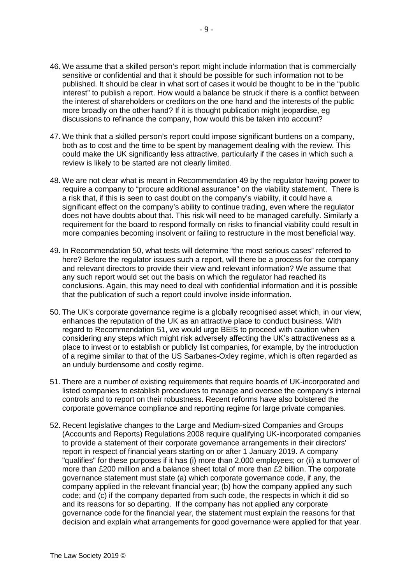- 46. We assume that a skilled person's report might include information that is commercially sensitive or confidential and that it should be possible for such information not to be published. It should be clear in what sort of cases it would be thought to be in the "public interest" to publish a report. How would a balance be struck if there is a conflict between the interest of shareholders or creditors on the one hand and the interests of the public more broadly on the other hand? If it is thought publication might jeopardise, eg discussions to refinance the company, how would this be taken into account?
- 47. We think that a skilled person's report could impose significant burdens on a company, both as to cost and the time to be spent by management dealing with the review. This could make the UK significantly less attractive, particularly if the cases in which such a review is likely to be started are not clearly limited.
- 48. We are not clear what is meant in Recommendation 49 by the regulator having power to require a company to "procure additional assurance" on the viability statement. There is a risk that, if this is seen to cast doubt on the company's viability, it could have a significant effect on the company's ability to continue trading, even where the regulator does not have doubts about that. This risk will need to be managed carefully. Similarly a requirement for the board to respond formally on risks to financial viability could result in more companies becoming insolvent or failing to restructure in the most beneficial way.
- 49. In Recommendation 50, what tests will determine "the most serious cases" referred to here? Before the regulator issues such a report, will there be a process for the company and relevant directors to provide their view and relevant information? We assume that any such report would set out the basis on which the regulator had reached its conclusions. Again, this may need to deal with confidential information and it is possible that the publication of such a report could involve inside information.
- 50. The UK's corporate governance regime is a globally recognised asset which, in our view, enhances the reputation of the UK as an attractive place to conduct business. With regard to Recommendation 51, we would urge BEIS to proceed with caution when considering any steps which might risk adversely affecting the UK's attractiveness as a place to invest or to establish or publicly list companies, for example, by the introduction of a regime similar to that of the US Sarbanes-Oxley regime, which is often regarded as an unduly burdensome and costly regime.
- 51. There are a number of existing requirements that require boards of UK-incorporated and listed companies to establish procedures to manage and oversee the company's internal controls and to report on their robustness. Recent reforms have also bolstered the corporate governance compliance and reporting regime for large private companies.
- 52. Recent legislative changes to the Large and Medium-sized Companies and Groups (Accounts and Reports) Regulations 2008 require qualifying UK-incorporated companies to provide a statement of their corporate governance arrangements in their directors' report in respect of financial years starting on or after 1 January 2019. A company "qualifies" for these purposes if it has (i) more than 2,000 employees; or (ii) a turnover of more than £200 million and a balance sheet total of more than £2 billion. The corporate governance statement must state (a) which corporate governance code, if any, the company applied in the relevant financial year; (b) how the company applied any such code; and (c) if the company departed from such code, the respects in which it did so and its reasons for so departing. If the company has not applied any corporate governance code for the financial year, the statement must explain the reasons for that decision and explain what arrangements for good governance were applied for that year.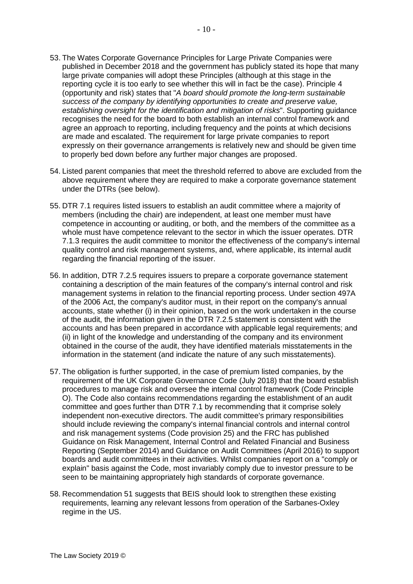- 53. The Wates Corporate Governance Principles for Large Private Companies were published in December 2018 and the government has publicly stated its hope that many large private companies will adopt these Principles (although at this stage in the reporting cycle it is too early to see whether this will in fact be the case). Principle 4 (opportunity and risk) states that "*A board should promote the long-term sustainable success of the company by identifying opportunities to create and preserve value, establishing oversight for the identification and mitigation of risks*". Supporting guidance recognises the need for the board to both establish an internal control framework and agree an approach to reporting, including frequency and the points at which decisions are made and escalated. The requirement for large private companies to report expressly on their governance arrangements is relatively new and should be given time to properly bed down before any further major changes are proposed.
- 54. Listed parent companies that meet the threshold referred to above are excluded from the above requirement where they are required to make a corporate governance statement under the DTRs (see below).
- 55. DTR 7.1 requires listed issuers to establish an audit committee where a majority of members (including the chair) are independent, at least one member must have competence in accounting or auditing, or both, and the members of the committee as a whole must have competence relevant to the sector in which the issuer operates. DTR 7.1.3 requires the audit committee to monitor the effectiveness of the company's internal quality control and risk management systems, and, where applicable, its internal audit regarding the financial reporting of the issuer.
- 56. In addition, DTR 7.2.5 requires issuers to prepare a corporate governance statement containing a description of the main features of the company's internal control and risk management systems in relation to the financial reporting process. Under section 497A of the 2006 Act, the company's auditor must, in their report on the company's annual accounts, state whether (i) in their opinion, based on the work undertaken in the course of the audit, the information given in the DTR 7.2.5 statement is consistent with the accounts and has been prepared in accordance with applicable legal requirements; and (ii) in light of the knowledge and understanding of the company and its environment obtained in the course of the audit, they have identified materials misstatements in the information in the statement (and indicate the nature of any such misstatements).
- 57. The obligation is further supported, in the case of premium listed companies, by the requirement of the UK Corporate Governance Code (July 2018) that the board establish procedures to manage risk and oversee the internal control framework (Code Principle O). The Code also contains recommendations regarding the establishment of an audit committee and goes further than DTR 7.1 by recommending that it comprise solely independent non-executive directors. The audit committee's primary responsibilities should include reviewing the company's internal financial controls and internal control and risk management systems (Code provision 25) and the FRC has published Guidance on Risk Management, Internal Control and Related Financial and Business Reporting (September 2014) and Guidance on Audit Committees (April 2016) to support boards and audit committees in their activities. Whilst companies report on a "comply or explain" basis against the Code, most invariably comply due to investor pressure to be seen to be maintaining appropriately high standards of corporate governance.
- 58. Recommendation 51 suggests that BEIS should look to strengthen these existing requirements, learning any relevant lessons from operation of the Sarbanes-Oxley regime in the US.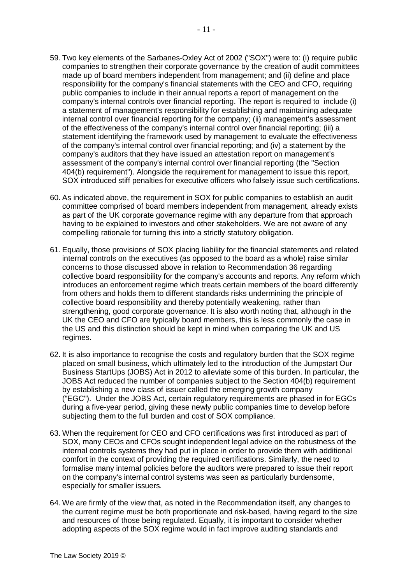- 59. Two key elements of the Sarbanes-Oxley Act of 2002 ("SOX") were to: (i) require public companies to strengthen their corporate governance by the creation of audit committees made up of board members independent from management; and (ii) define and place responsibility for the company's financial statements with the CEO and CFO, requiring public companies to include in their annual reports a report of management on the company's internal controls over financial reporting. The report is required to include (i) a statement of management's responsibility for establishing and maintaining adequate internal control over financial reporting for the company; (ii) management's assessment of the effectiveness of the company's internal control over financial reporting; (iii) a statement identifying the framework used by management to evaluate the effectiveness of the company's internal control over financial reporting; and (iv) a statement by the company's auditors that they have issued an attestation report on management's assessment of the company's internal control over financial reporting (the "Section 404(b) requirement"). Alongside the requirement for management to issue this report, SOX introduced stiff penalties for executive officers who falsely issue such certifications.
- 60. As indicated above, the requirement in SOX for public companies to establish an audit committee comprised of board members independent from management, already exists as part of the UK corporate governance regime with any departure from that approach having to be explained to investors and other stakeholders. We are not aware of any compelling rationale for turning this into a strictly statutory obligation.
- 61. Equally, those provisions of SOX placing liability for the financial statements and related internal controls on the executives (as opposed to the board as a whole) raise similar concerns to those discussed above in relation to Recommendation 36 regarding collective board responsibility for the company's accounts and reports. Any reform which introduces an enforcement regime which treats certain members of the board differently from others and holds them to different standards risks undermining the principle of collective board responsibility and thereby potentially weakening, rather than strengthening, good corporate governance. It is also worth noting that, although in the UK the CEO and CFO are typically board members, this is less commonly the case in the US and this distinction should be kept in mind when comparing the UK and US regimes.
- 62. It is also importance to recognise the costs and regulatory burden that the SOX regime placed on small business, which ultimately led to the introduction of the Jumpstart Our Business StartUps (JOBS) Act in 2012 to alleviate some of this burden. In particular, the JOBS Act reduced the number of companies subject to the Section 404(b) requirement by establishing a new class of issuer called the emerging growth company ("EGC"). Under the JOBS Act, certain regulatory requirements are phased in for EGCs during a five-year period, giving these newly public companies time to develop before subjecting them to the full burden and cost of SOX compliance.
- 63. When the requirement for CEO and CFO certifications was first introduced as part of SOX, many CEOs and CFOs sought independent legal advice on the robustness of the internal controls systems they had put in place in order to provide them with additional comfort in the context of providing the required certifications. Similarly, the need to formalise many internal policies before the auditors were prepared to issue their report on the company's internal control systems was seen as particularly burdensome, especially for smaller issuers.
- 64. We are firmly of the view that, as noted in the Recommendation itself, any changes to the current regime must be both proportionate and risk-based, having regard to the size and resources of those being regulated. Equally, it is important to consider whether adopting aspects of the SOX regime would in fact improve auditing standards and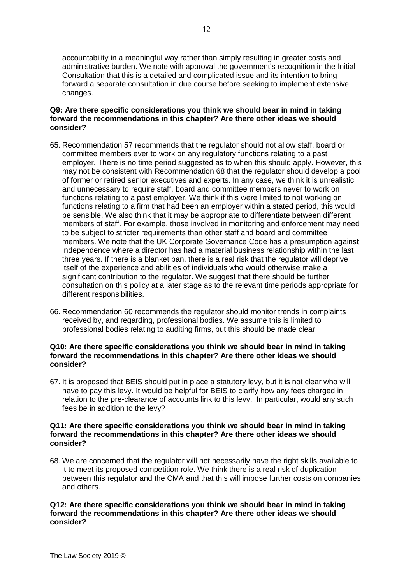accountability in a meaningful way rather than simply resulting in greater costs and administrative burden. We note with approval the government's recognition in the Initial Consultation that this is a detailed and complicated issue and its intention to bring forward a separate consultation in due course before seeking to implement extensive changes.

# **Q9: Are there specific considerations you think we should bear in mind in taking forward the recommendations in this chapter? Are there other ideas we should consider?**

- 65. Recommendation 57 recommends that the regulator should not allow staff, board or committee members ever to work on any regulatory functions relating to a past employer. There is no time period suggested as to when this should apply. However, this may not be consistent with Recommendation 68 that the regulator should develop a pool of former or retired senior executives and experts. In any case, we think it is unrealistic and unnecessary to require staff, board and committee members never to work on functions relating to a past employer. We think if this were limited to not working on functions relating to a firm that had been an employer within a stated period, this would be sensible. We also think that it may be appropriate to differentiate between different members of staff. For example, those involved in monitoring and enforcement may need to be subject to stricter requirements than other staff and board and committee members. We note that the UK Corporate Governance Code has a presumption against independence where a director has had a material business relationship within the last three years. If there is a blanket ban, there is a real risk that the regulator will deprive itself of the experience and abilities of individuals who would otherwise make a significant contribution to the regulator. We suggest that there should be further consultation on this policy at a later stage as to the relevant time periods appropriate for different responsibilities.
- 66. Recommendation 60 recommends the regulator should monitor trends in complaints received by, and regarding, professional bodies. We assume this is limited to professional bodies relating to auditing firms, but this should be made clear.

# **Q10: Are there specific considerations you think we should bear in mind in taking forward the recommendations in this chapter? Are there other ideas we should consider?**

67. It is proposed that BEIS should put in place a statutory levy, but it is not clear who will have to pay this levy. It would be helpful for BEIS to clarify how any fees charged in relation to the pre-clearance of accounts link to this levy. In particular, would any such fees be in addition to the levy?

# **Q11: Are there specific considerations you think we should bear in mind in taking forward the recommendations in this chapter? Are there other ideas we should consider?**

68. We are concerned that the regulator will not necessarily have the right skills available to it to meet its proposed competition role. We think there is a real risk of duplication between this regulator and the CMA and that this will impose further costs on companies and others.

# **Q12: Are there specific considerations you think we should bear in mind in taking forward the recommendations in this chapter? Are there other ideas we should consider?**